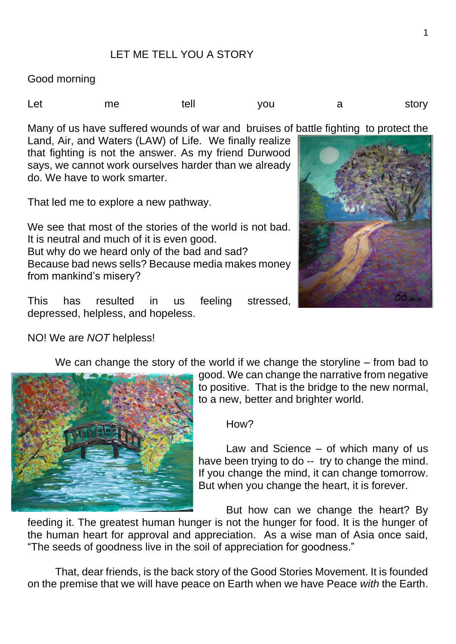## LET ME TELL YOU A STORY

Good morning

Let me tell you a story

Many of us have suffered wounds of war and bruises of battle fighting to protect the

Land, Air, and Waters (LAW) of Life. We finally realize that fighting is not the answer. As my friend Durwood says, we cannot work ourselves harder than we already do. We have to work smarter.

That led me to explore a new pathway.

We see that most of the stories of the world is not bad. It is neutral and much of it is even good. But why do we heard only of the bad and sad? Because bad news sells? Because media makes money from mankind's misery?

This has resulted in us feeling stressed, depressed, helpless, and hopeless.

NO! We are *NOT* helpless!





good. We can change the narrative from negative to positive. That is the bridge to the new normal, to a new, better and brighter world.

How?

Law and Science – of which many of us have been trying to do -- try to change the mind. If you change the mind, it can change tomorrow. But when you change the heart, it is forever.

But how can we change the heart? By

feeding it. The greatest human hunger is not the hunger for food. It is the hunger of the human heart for approval and appreciation. As a wise man of Asia once said, "The seeds of goodness live in the soil of appreciation for goodness."

That, dear friends, is the back story of the Good Stories Movement. It is founded on the premise that we will have peace on Earth when we have Peace *with* the Earth.

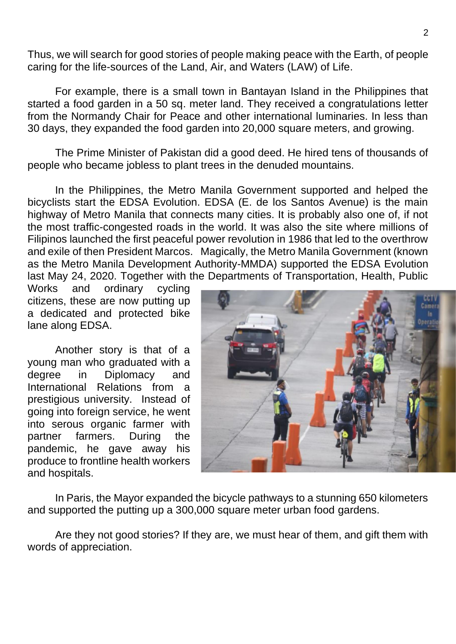Thus, we will search for good stories of people making peace with the Earth, of people caring for the life-sources of the Land, Air, and Waters (LAW) of Life.

For example, there is a small town in Bantayan Island in the Philippines that started a food garden in a 50 sq. meter land. They received a congratulations letter from the Normandy Chair for Peace and other international luminaries. In less than 30 days, they expanded the food garden into 20,000 square meters, and growing.

The Prime Minister of Pakistan did a good deed. He hired tens of thousands of people who became jobless to plant trees in the denuded mountains.

In the Philippines, the Metro Manila Government supported and helped the bicyclists start the EDSA Evolution. EDSA (E. de los Santos Avenue) is the main highway of Metro Manila that connects many cities. It is probably also one of, if not the most traffic-congested roads in the world. It was also the site where millions of Filipinos launched the first peaceful power revolution in 1986 that led to the overthrow and exile of then President Marcos. Magically, the Metro Manila Government (known as the Metro Manila Development Authority-MMDA) supported the EDSA Evolution last May 24, 2020. Together with the Departments of Transportation, Health, Public

Works and ordinary cycling citizens, these are now putting up a dedicated and protected bike lane along EDSA.

Another story is that of a young man who graduated with a degree in Diplomacy and International Relations from a prestigious university. Instead of going into foreign service, he went into serous organic farmer with partner farmers. During the pandemic, he gave away his produce to frontline health workers and hospitals.



In Paris, the Mayor expanded the bicycle pathways to a stunning 650 kilometers and supported the putting up a 300,000 square meter urban food gardens.

Are they not good stories? If they are, we must hear of them, and gift them with words of appreciation.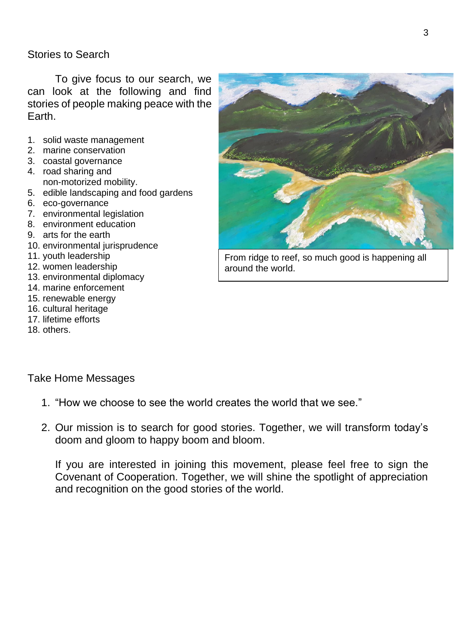## Stories to Search

To give focus to our search, we can look at the following and find stories of people making peace with the **Earth** 

- 1. solid waste management
- 2. marine conservation
- 3. coastal governance
- 4. road sharing and non-motorized mobility.
- 5. edible landscaping and food gardens
- 6. eco-governance
- 7. environmental legislation
- 8. environment education
- 9. arts for the earth
- 10. environmental jurisprudence
- 11. youth leadership
- 12. women leadership
- 13. environmental diplomacy
- 14. marine enforcement
- 15. renewable energy
- 16. cultural heritage
- 17. lifetime efforts
- 18. others.



From ridge to reef, so much good is happening all around the world.

Take Home Messages

- 1. "How we choose to see the world creates the world that we see."
- 2. Our mission is to search for good stories. Together, we will transform today's doom and gloom to happy boom and bloom.

If you are interested in joining this movement, please feel free to sign the Covenant of Cooperation. Together, we will shine the spotlight of appreciation and recognition on the good stories of the world.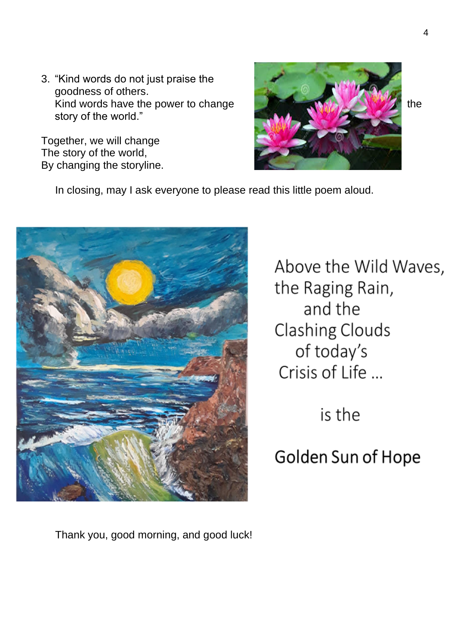3. "Kind words do not just praise the goodness of others. Kind words have the power to change the state of the state of the state of the state of the state of the state of the state of the state of the state of the state of the state of the state of the state of the state of the story of the world."

Together, we will change The story of the world, By changing the storyline.



In closing, may I ask everyone to please read this little poem aloud.



Above the Wild Waves, the Raging Rain, and the **Clashing Clouds** of today's Crisis of Life ...

is the

Golden Sun of Hope

Thank you, good morning, and good luck!